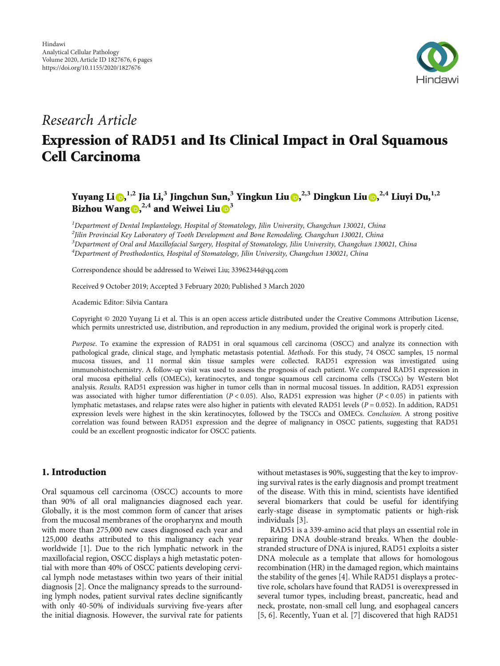

# Research Article

# Expression of RAD51 and Its Clinical Impact in Oral Squamous Cell Carcinoma

Yuyang Li <mark>O[,](https://orcid.org/0000-0002-2105-1961)<sup>1,2</sup> Jia Li,<sup>3</sup> Jingchun Sun,<sup>3</sup> Yingkun Liu <mark>O,<sup>2,3</sup> Dingkun Liu O,<sup>2,4</sup> Liuyi Du,<sup>1,2</sup></mark></mark> Bizhou Wang  $\mathbf{D}^{2,4}$  and Weiwei Liu $\mathbf{D}^3$  $\mathbf{D}^3$ 

<sup>1</sup>Department of Dental Implantology, Hospital of Stomatology, Jilin University, Changchun 130021, China  $^2$ Jilin Provincial Key Laboratory of Tooth Development and Bone Remodeling, Changchun 130021, China <sup>3</sup>Department of Oral and Maxillofacial Surgery, Hospital of Stomatology, Jilin University, Changchun 130021, China 4 Department of Prosthodontics, Hospital of Stomatology, Jilin University, Changchun 130021, China

Correspondence should be addressed to Weiwei Liu; 33962344@qq.com

Received 9 October 2019; Accepted 3 February 2020; Published 3 March 2020

Academic Editor: Silvia Cantara

Copyright © 2020 Yuyang Li et al. This is an open access article distributed under the [Creative Commons Attribution License](https://creativecommons.org/licenses/by/4.0/), which permits unrestricted use, distribution, and reproduction in any medium, provided the original work is properly cited.

Purpose. To examine the expression of RAD51 in oral squamous cell carcinoma (OSCC) and analyze its connection with pathological grade, clinical stage, and lymphatic metastasis potential. Methods. For this study, 74 OSCC samples, 15 normal mucosa tissues, and 11 normal skin tissue samples were collected. RAD51 expression was investigated using immunohistochemistry. A follow-up visit was used to assess the prognosis of each patient. We compared RAD51 expression in oral mucosa epithelial cells (OMECs), keratinocytes, and tongue squamous cell carcinoma cells (TSCCs) by Western blot analysis. Results. RAD51 expression was higher in tumor cells than in normal mucosal tissues. In addition, RAD51 expression was associated with higher tumor differentiation (*P* < 0*:*05). Also, RAD51 expression was higher (*P* < 0*:*05) in patients with lymphatic metastases, and relapse rates were also higher in patients with elevated RAD51 levels (*P* = 0*:*052). In addition, RAD51 expression levels were highest in the skin keratinocytes, followed by the TSCCs and OMECs. Conclusion. A strong positive correlation was found between RAD51 expression and the degree of malignancy in OSCC patients, suggesting that RAD51 could be an excellent prognostic indicator for OSCC patients.

## 1. Introduction

Oral squamous cell carcinoma (OSCC) accounts to more than 90% of all oral malignancies diagnosed each year. Globally, it is the most common form of cancer that arises from the mucosal membranes of the oropharynx and mouth with more than 275,000 new cases diagnosed each year and 125,000 deaths attributed to this malignancy each year worldwide [[1](#page-4-0)]. Due to the rich lymphatic network in the maxillofacial region, OSCC displays a high metastatic potential with more than 40% of OSCC patients developing cervical lymph node metastases within two years of their initial diagnosis [[2\]](#page-4-0). Once the malignancy spreads to the surrounding lymph nodes, patient survival rates decline significantly with only 40-50% of individuals surviving five-years after the initial diagnosis. However, the survival rate for patients

without metastases is 90%, suggesting that the key to improving survival rates is the early diagnosis and prompt treatment of the disease. With this in mind, scientists have identified several biomarkers that could be useful for identifying early-stage disease in symptomatic patients or high-risk individuals [\[3\]](#page-4-0).

RAD51 is a 339-amino acid that plays an essential role in repairing DNA double-strand breaks. When the doublestranded structure of DNA is injured, RAD51 exploits a sister DNA molecule as a template that allows for homologous recombination (HR) in the damaged region, which maintains the stability of the genes [[4](#page-4-0)]. While RAD51 displays a protective role, scholars have found that RAD51 is overexpressed in several tumor types, including breast, pancreatic, head and neck, prostate, non-small cell lung, and esophageal cancers [\[5](#page-4-0), [6](#page-4-0)]. Recently, Yuan et al. [\[7](#page-4-0)] discovered that high RAD51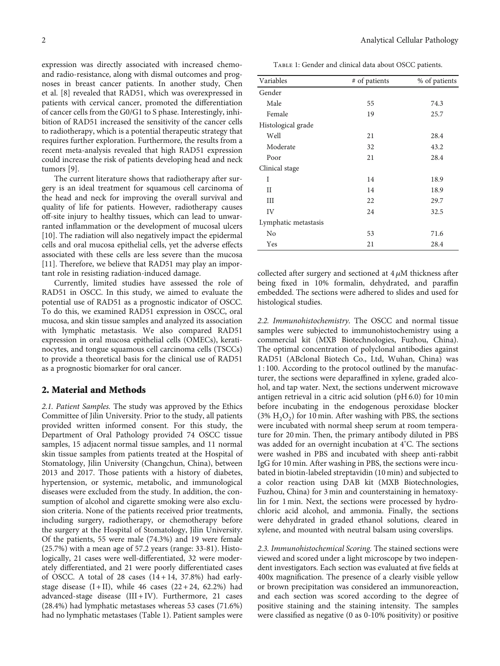expression was directly associated with increased chemoand radio-resistance, along with dismal outcomes and prognoses in breast cancer patients. In another study, Chen et al. [\[8](#page-4-0)] revealed that RAD51, which was overexpressed in patients with cervical cancer, promoted the differentiation of cancer cells from the G0/G1 to S phase. Interestingly, inhibition of RAD51 increased the sensitivity of the cancer cells to radiotherapy, which is a potential therapeutic strategy that requires further exploration. Furthermore, the results from a recent meta-analysis revealed that high RAD51 expression could increase the risk of patients developing head and neck tumors [[9\]](#page-4-0).

The current literature shows that radiotherapy after surgery is an ideal treatment for squamous cell carcinoma of the head and neck for improving the overall survival and quality of life for patients. However, radiotherapy causes off-site injury to healthy tissues, which can lead to unwarranted inflammation or the development of mucosal ulcers [\[10](#page-5-0)]. The radiation will also negatively impact the epidermal cells and oral mucosa epithelial cells, yet the adverse effects associated with these cells are less severe than the mucosa [\[11](#page-5-0)]. Therefore, we believe that RAD51 may play an important role in resisting radiation-induced damage.

Currently, limited studies have assessed the role of RAD51 in OSCC. In this study, we aimed to evaluate the potential use of RAD51 as a prognostic indicator of OSCC. To do this, we examined RAD51 expression in OSCC, oral mucosa, and skin tissue samples and analyzed its association with lymphatic metastasis. We also compared RAD51 expression in oral mucosa epithelial cells (OMECs), keratinocytes, and tongue squamous cell carcinoma cells (TSCCs) to provide a theoretical basis for the clinical use of RAD51 as a prognostic biomarker for oral cancer.

# 2. Material and Methods

2.1. Patient Samples. The study was approved by the Ethics Committee of Jilin University. Prior to the study, all patients provided written informed consent. For this study, the Department of Oral Pathology provided 74 OSCC tissue samples, 15 adjacent normal tissue samples, and 11 normal skin tissue samples from patients treated at the Hospital of Stomatology, Jilin University (Changchun, China), between 2013 and 2017. Those patients with a history of diabetes, hypertension, or systemic, metabolic, and immunological diseases were excluded from the study. In addition, the consumption of alcohol and cigarette smoking were also exclusion criteria. None of the patients received prior treatments, including surgery, radiotherapy, or chemotherapy before the surgery at the Hospital of Stomatology, Jilin University. Of the patients, 55 were male (74.3%) and 19 were female (25.7%) with a mean age of 57.2 years (range: 33-81). Histologically, 21 cases were well-differentiated, 32 were moderately differentiated, and 21 were poorly differentiated cases of OSCC. A total of  $28$  cases  $(14+14, 37.8%)$  had earlystage disease  $(I + II)$ , while 46 cases  $(22 + 24, 62.2%)$  had advanced-stage disease (III + IV). Furthermore, 21 cases (28.4%) had lymphatic metastases whereas 53 cases (71.6%) had no lymphatic metastases (Table 1). Patient samples were

TABLE 1: Gender and clinical data about OSCC patients.

| # of patients | % of patients |
|---------------|---------------|
|               |               |
| 55            | 74.3          |
| 19            | 25.7          |
|               |               |
| 21            | 28.4          |
| 32            | 43.2          |
| 21            | 28.4          |
|               |               |
| 14            | 18.9          |
| 14            | 18.9          |
| 22            | 29.7          |
| 24            | 32.5          |
|               |               |
| 53            | 71.6          |
| 21            | 28.4          |
|               |               |

collected after surgery and sectioned at 4 *μ*M thickness after being fixed in 10% formalin, dehydrated, and paraffin embedded. The sections were adhered to slides and used for histological studies.

2.2. Immunohistochemistry. The OSCC and normal tissue samples were subjected to immunohistochemistry using a commercial kit (MXB Biotechnologies, Fuzhou, China). The optimal concentration of polyclonal antibodies against RAD51 (ABclonal Biotech Co., Ltd, Wuhan, China) was 1 : 100. According to the protocol outlined by the manufacturer, the sections were deparaffined in xylene, graded alcohol, and tap water. Next, the sections underwent microwave antigen retrieval in a citric acid solution (pH 6.0) for 10 min before incubating in the endogenous peroxidase blocker (3%  $H_2O_2$ ) for 10 min. After washing with PBS, the sections were incubated with normal sheep serum at room temperature for 20 min. Then, the primary antibody diluted in PBS was added for an overnight incubation at 4° C. The sections were washed in PBS and incubated with sheep anti-rabbit IgG for 10 min. After washing in PBS, the sections were incubated in biotin-labeled streptavidin (10 min) and subjected to a color reaction using DAB kit (MXB Biotechnologies, Fuzhou, China) for 3 min and counterstaining in hematoxylin for 1 min. Next, the sections were processed by hydrochloric acid alcohol, and ammonia. Finally, the sections were dehydrated in graded ethanol solutions, cleared in xylene, and mounted with neutral balsam using coverslips.

2.3. Immunohistochemical Scoring. The stained sections were viewed and scored under a light microscope by two independent investigators. Each section was evaluated at five fields at 400x magnification. The presence of a clearly visible yellow or brown precipitation was considered an immunoreaction, and each section was scored according to the degree of positive staining and the staining intensity. The samples were classified as negative (0 as 0-10% positivity) or positive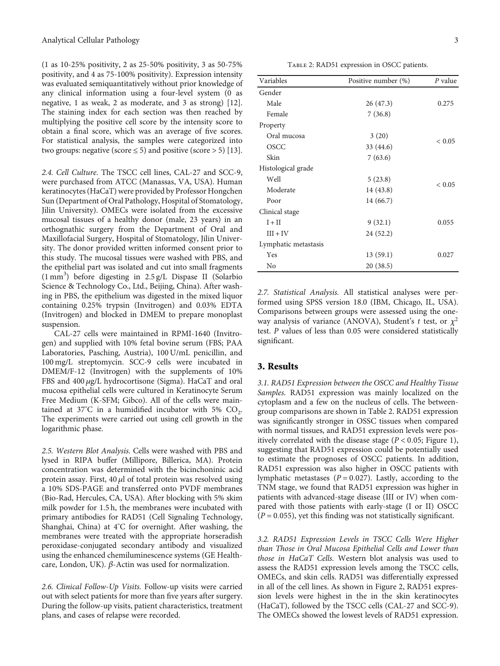<span id="page-2-0"></span>(1 as 10-25% positivity, 2 as 25-50% positivity, 3 as 50-75% positivity, and 4 as 75-100% positivity). Expression intensity was evaluated semiquantitatively without prior knowledge of any clinical information using a four-level system (0 as negative, 1 as weak, 2 as moderate, and 3 as strong) [[12](#page-5-0)]. The staining index for each section was then reached by multiplying the positive cell score by the intensity score to obtain a final score, which was an average of five scores. For statistical analysis, the samples were categorized into two groups: negative (score  $\leq$  5) and positive (score > 5) [[13](#page-5-0)].

2.4. Cell Culture. The TSCC cell lines, CAL-27 and SCC-9, were purchased from ATCC (Manassas, VA, USA). Human keratinocytes (HaCaT) were provided by Professor Hongchen Sun (Department of Oral Pathology, Hospital of Stomatology, Jilin University). OMECs were isolated from the excessive mucosal tissues of a healthy donor (male, 23 years) in an orthognathic surgery from the Department of Oral and Maxillofacial Surgery, Hospital of Stomatology, Jilin University. The donor provided written informed consent prior to this study. The mucosal tissues were washed with PBS, and the epithelial part was isolated and cut into small fragments (1 mm<sup>3</sup> ) before digesting in 2.5 g/L Dispase II (Solarbio Science & Technology Co., Ltd., Beijing, China). After washing in PBS, the epithelium was digested in the mixed liquor containing 0.25% trypsin (Invitrogen) and 0.03% EDTA (Invitrogen) and blocked in DMEM to prepare monoplast suspension.

CAL-27 cells were maintained in RPMI-1640 (Invitrogen) and supplied with 10% fetal bovine serum (FBS; PAA Laboratories, Pasching, Austria), 100 U/mL penicillin, and 100 mg/L streptomycin. SCC-9 cells were incubated in DMEM/F-12 (Invitrogen) with the supplements of 10% FBS and 400 *μg*/L hydrocortisone (Sigma). HaCaT and oral mucosa epithelial cells were cultured in Keratinocyte Serum Free Medium (K-SFM; Gibco). All of the cells were maintained at 37°C in a humidified incubator with 5%  $CO_2$ . The experiments were carried out using cell growth in the logarithmic phase.

2.5. Western Blot Analysis. Cells were washed with PBS and lysed in RIPA buffer (Millipore, Billerica, MA). Protein concentration was determined with the bicinchoninic acid protein assay. First, 40 *μ*l of total protein was resolved using a 10% SDS-PAGE and transferred onto PVDF membranes (Bio-Rad, Hercules, CA, USA). After blocking with 5% skim milk powder for 1.5 h, the membranes were incubated with primary antibodies for RAD51 (Cell Signaling Technology, Shanghai, China) at 4° C for overnight. After washing, the membranes were treated with the appropriate horseradish peroxidase-conjugated secondary antibody and visualized using the enhanced chemiluminescence systems (GE Healthcare, London, UK). *β*-Actin was used for normalization.

2.6. Clinical Follow-Up Visits. Follow-up visits were carried out with select patients for more than five years after surgery. During the follow-up visits, patient characteristics, treatment plans, and cases of relapse were recorded.

TABLE 2: RAD51 expression in OSCC patients.

| Variables            | Positive number (%) | P value    |
|----------------------|---------------------|------------|
| Gender               |                     |            |
| Male                 | 26 (47.3)           | 0.275      |
| Female               | 7(36.8)             |            |
| Property             |                     |            |
| Oral mucosa          | 3(20)               | ${}< 0.05$ |
| OSCC                 | 33 (44.6)           |            |
| Skin                 | 7(63.6)             |            |
| Histological grade   |                     |            |
| Well                 | 5(23.8)             | ${}< 0.05$ |
| Moderate             | 14 (43.8)           |            |
| Poor                 | 14 (66.7)           |            |
| Clinical stage       |                     |            |
| $I + II$             | 9(32.1)             | 0.055      |
| $III + IV$           | 24 (52.2)           |            |
| Lymphatic metastasis |                     |            |
| Yes                  | 13(59.1)            | 0.027      |
| No                   | 20 (38.5)           |            |

2.7. Statistical Analysis. All statistical analyses were performed using SPSS version 18.0 (IBM, Chicago, IL, USA). Comparisons between groups were assessed using the oneway analysis of variance (ANOVA), Student's *t* test, or *χ*<sup>2</sup> test. *P* values of less than 0.05 were considered statistically significant.

# 3. Results

3.1. RAD51 Expression between the OSCC and Healthy Tissue Samples. RAD51 expression was mainly localized on the cytoplasm and a few on the nucleus of cells. The betweengroup comparisons are shown in Table 2. RAD51 expression was significantly stronger in OSSC tissues when compared with normal tissues, and RAD51 expression levels were positively correlated with the disease stage ( $P < 0.05$ ; Figure [1](#page-3-0)), suggesting that RAD51 expression could be potentially used to estimate the prognoses of OSCC patients. In addition, RAD51 expression was also higher in OSCC patients with lymphatic metastases (*P* = 0*:*027). Lastly, according to the TNM stage, we found that RAD51 expression was higher in patients with advanced-stage disease (III or IV) when compared with those patients with early-stage (I or II) OSCC  $(P = 0.055)$ , yet this finding was not statistically significant.

3.2. RAD51 Expression Levels in TSCC Cells Were Higher than Those in Oral Mucosa Epithelial Cells and Lower than those in HaCaT Cells. Western blot analysis was used to assess the RAD51 expression levels among the TSCC cells, OMECs, and skin cells. RAD51 was differentially expressed in all of the cell lines. As shown in Figure [2](#page-3-0), RAD51 expression levels were highest in the in the skin keratinocytes (HaCaT), followed by the TSCC cells (CAL-27 and SCC-9). The OMECs showed the lowest levels of RAD51 expression.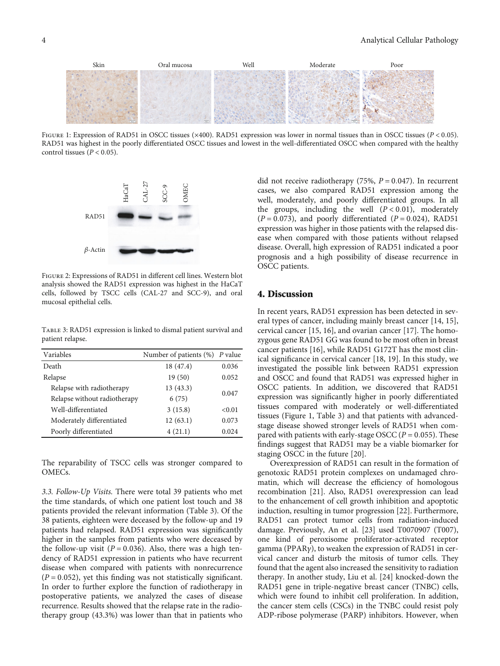<span id="page-3-0"></span>

Figure 1: Expression of RAD51 in OSCC tissues (×400). RAD51 expression was lower in normal tissues than in OSCC tissues (*<sup>P</sup>* < 0*:*05). RAD51 was highest in the poorly differentiated OSCC tissues and lowest in the well-differentiated OSCC when compared with the healthy control tissues  $(P < 0.05)$ .



Figure 2: Expressions of RAD51 in different cell lines. Western blot analysis showed the RAD51 expression was highest in the HaCaT cells, followed by TSCC cells (CAL-27 and SCC-9), and oral mucosal epithelial cells.

TABLE 3: RAD51 expression is linked to dismal patient survival and patient relapse.

| Variables                    | Number of patients $(\%)$ P value |        |
|------------------------------|-----------------------------------|--------|
| Death                        | 18 (47.4)                         | 0.036  |
| Relapse                      | 19(50)                            | 0.052  |
| Relapse with radiotherapy    | 13(43.3)                          |        |
| Relapse without radiotherapy | 6(75)                             | 0.047  |
| Well-differentiated          | 3(15.8)                           | < 0.01 |
| Moderately differentiated    | 12(63.1)                          | 0.073  |
| Poorly differentiated        | 4(21.1)                           | 0.024  |

The reparability of TSCC cells was stronger compared to OMECs.

3.3. Follow-Up Visits. There were total 39 patients who met the time standards, of which one patient lost touch and 38 patients provided the relevant information (Table 3). Of the 38 patients, eighteen were deceased by the follow-up and 19 patients had relapsed. RAD51 expression was significantly higher in the samples from patients who were deceased by the follow-up visit  $(P = 0.036)$ . Also, there was a high tendency of RAD51 expression in patients who have recurrent disease when compared with patients with nonrecurrence  $(P = 0.052)$ , yet this finding was not statistically significant. In order to further explore the function of radiotherapy in postoperative patients, we analyzed the cases of disease recurrence. Results showed that the relapse rate in the radiotherapy group (43.3%) was lower than that in patients who

did not receive radiotherapy (75%, *P* = 0*:*047). In recurrent cases, we also compared RAD51 expression among the well, moderately, and poorly differentiated groups. In all the groups, including the well (*P* < 0*:*01), moderately  $(P = 0.073)$ , and poorly differentiated  $(P = 0.024)$ , RAD51 expression was higher in those patients with the relapsed disease when compared with those patients without relapsed disease. Overall, high expression of RAD51 indicated a poor prognosis and a high possibility of disease recurrence in OSCC patients.

# 4. Discussion

In recent years, RAD51 expression has been detected in several types of cancer, including mainly breast cancer [\[14, 15](#page-5-0)], cervical cancer [[15](#page-5-0), [16](#page-5-0)], and ovarian cancer [\[17\]](#page-5-0). The homozygous gene RAD51 GG was found to be most often in breast cancer patients [[16](#page-5-0)], while RAD51 G172T has the most clinical significance in cervical cancer [[18](#page-5-0), [19\]](#page-5-0). In this study, we investigated the possible link between RAD51 expression and OSCC and found that RAD51 was expressed higher in OSCC patients. In addition, we discovered that RAD51 expression was significantly higher in poorly differentiated tissues compared with moderately or well-differentiated tissues (Figure 1, Table 3) and that patients with advancedstage disease showed stronger levels of RAD51 when compared with patients with early-stage OSCC (*P* = 0*:*055). These findings suggest that RAD51 may be a viable biomarker for staging OSCC in the future [\[20\]](#page-5-0).

Overexpression of RAD51 can result in the formation of genotoxic RAD51 protein complexes on undamaged chromatin, which will decrease the efficiency of homologous recombination [\[21\]](#page-5-0). Also, RAD51 overexpression can lead to the enhancement of cell growth inhibition and apoptotic induction, resulting in tumor progression [\[22\]](#page-5-0). Furthermore, RAD51 can protect tumor cells from radiation-induced damage. Previously, An et al. [[23](#page-5-0)] used T0070907 (T007), one kind of peroxisome proliferator-activated receptor gamma (PPAR*γ*), to weaken the expression of RAD51 in cervical cancer and disturb the mitosis of tumor cells. They found that the agent also increased the sensitivity to radiation therapy. In another study, Liu et al. [[24](#page-5-0)] knocked-down the RAD51 gene in triple-negative breast cancer (TNBC) cells, which were found to inhibit cell proliferation. In addition, the cancer stem cells (CSCs) in the TNBC could resist poly ADP-ribose polymerase (PARP) inhibitors. However, when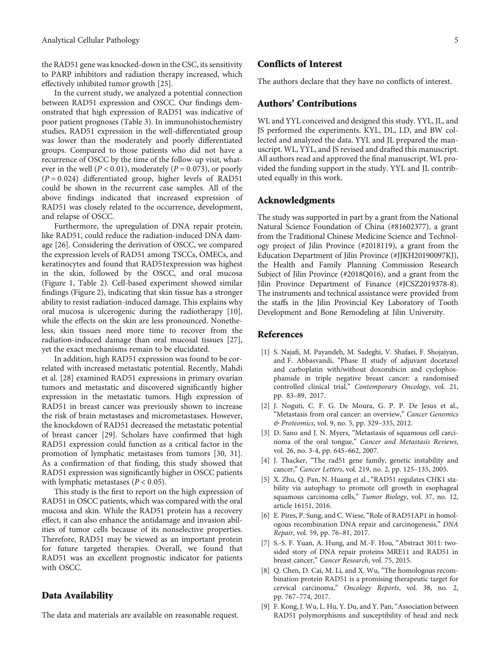<span id="page-4-0"></span>the RAD51 gene was knocked-down in the CSC, its sensitivity to PARP inhibitors and radiation therapy increased, which effectively inhibited tumor growth [\[25\]](#page-5-0).

In the current study, we analyzed a potential connection between RAD51 expression and OSCC. Our findings demonstrated that high expression of RAD51 was indicative of poor patient prognoses (Table [3\)](#page-3-0). In immunohistochemistry studies, RAD51 expression in the well-differentiated group was lower than the moderately and poorly differentiated groups. Compared to those patients who did not have a recurrence of OSCC by the time of the follow-up visit, whatever in the well (*P* < 0*:*01), moderately (*P* = 0*:*073), or poorly (*P* = 0*:*024) differentiated group, higher levels of RAD51 could be shown in the recurrent case samples. All of the above findings indicated that increased expression of RAD51 was closely related to the occurrence, development, and relapse of OSCC.

Furthermore, the upregulation of DNA repair protein, like RAD51, could reduce the radiation-induced DNA damage [\[26\]](#page-5-0). Considering the derivation of OSCC, we compared the expression levels of RAD51 among TSCCs, OMECs, and keratinocytes and found that RAD51expression was highest in the skin, followed by the OSCC, and oral mucosa (Figure [1,](#page-3-0) Table [2\)](#page-2-0). Cell-based experiment showed similar findings (Figure [2](#page-3-0)), indicating that skin tissue has a stronger ability to resist radiation-induced damage. This explains why oral mucosa is ulcerogenic during the radiotherapy [[10](#page-5-0)], while the effects on the skin are less pronounced. Nonetheless, skin tissues need more time to recover from the radiation-induced damage than oral mucosal tissues [[27](#page-5-0)], yet the exact mechanisms remain to be elucidated.

In addition, high RAD51 expression was found to be correlated with increased metastatic potential. Recently, Mahdi et al. [[28](#page-5-0)] examined RAD51 expressions in primary ovarian tumors and metastatic and discovered significantly higher expression in the metastatic tumors. High expression of RAD51 in breast cancer was previously shown to increase the risk of brain metastases and micrometastases. However, the knockdown of RAD51 decreased the metastatic potential of breast cancer [\[29](#page-5-0)]. Scholars have confirmed that high RAD51 expression could function as a critical factor in the promotion of lymphatic metastases from tumors [[30](#page-5-0), [31](#page-5-0)]. As a confirmation of that finding, this study showed that RAD51 expression was significantly higher in OSCC patients with lymphatic metastases  $(P < 0.05)$ .

This study is the first to report on the high expression of RAD51 in OSCC patients, which was compared with the oral mucosa and skin. While the RAD51 protein has a recovery effect, it can also enhance the antidamage and invasion abilities of tumor cells because of its nonselective properties. Therefore, RAD51 may be viewed as an important protein for future targeted therapies. Overall, we found that RAD51 was an excellent prognostic indicator for patients with OSCC.

# Data Availability

The data and materials are available on reasonable request.

# Conflicts of Interest

The authors declare that they have no conflicts of interest.

#### Authors' Contributions

WL and YYL conceived and designed this study. YYL, JL, and JS performed the experiments. KYL, DL, LD, and BW collected and analyzed the data. YYL and JL prepared the manuscript. WL, YYL, and JS revised and drafted this manuscript. All authors read and approved the final manuscript. WL provided the funding support in the study. YYL and JL contributed equally in this work.

### Acknowledgments

The study was supported in part by a grant from the National Natural Science Foundation of China (#81602377), a grant from the Traditional Chinese Medicine Science and Technology project of Jilin Province (#2018119), a grant from the Education Department of Jilin Province (#JJKH20190097KJ), the Health and Family Planning Commission Research Subject of Jilin Province (#2018Q016), and a grant from the Jilin Province Department of Finance (#JCSZ2019378-8). The instruments and technical assistance were provided from the staffs in the Jilin Provincial Key Laboratory of Tooth Development and Bone Remodeling at Jilin University.

# References

- [1] S. Najafi, M. Payandeh, M. Sadeghi, V. Shafaei, F. Shojaiyan, and F. Abbasvandi, "Phase II study of adjuvant docetaxel and carboplatin with/without doxorubicin and cyclophosphamide in triple negative breast cancer: a randomised controlled clinical trial," Contemporary Oncology, vol. 21, pp. 83–89, 2017.
- [2] J. Noguti, C. F. G. De Moura, G. P. P. De Jesus et al., "Metastasis from oral cancer: an overview," Cancer Genomics & Proteomics, vol. 9, no. 5, pp. 329–335, 2012.
- [3] D. Sano and J. N. Myers, "Metastasis of squamous cell carcinoma of the oral tongue," Cancer and Metastasis Reviews, vol. 26, no. 3-4, pp. 645–662, 2007.
- [4] J. Thacker, "The rad51 gene family, genetic instability and cancer," Cancer Letters, vol. 219, no. 2, pp. 125–135, 2005.
- [5] X. Zhu, Q. Pan, N. Huang et al., "RAD51 regulates CHK1 stability via autophagy to promote cell growth in esophageal squamous carcinoma cells," Tumor Biology, vol. 37, no. 12, article 16151, 2016.
- [6] E. Pires, P. Sung, and C. Wiese, "Role of RAD51AP1 in homologous recombination DNA repair and carcinogenesis," DNA Repair, vol. 59, pp. 76–81, 2017.
- [7] S.-S. F. Yuan, A. Hung, and M.-F. Hou, "Abstract 3011: twosided story of DNA repair proteins MRE11 and RAD51 in breast cancer," Cancer Research, vol. 75, 2015.
- [8] Q. Chen, D. Cai, M. Li, and X. Wu, "The homologous recombination protein RAD51 is a promising therapeutic target for cervical carcinoma," Oncology Reports, vol. 38, no. 2, pp. 767–774, 2017.
- [9] F. Kong, J. Wu, L. Hu, Y. Du, and Y. Pan,"Association between RAD51 polymorphisms and susceptibility of head and neck